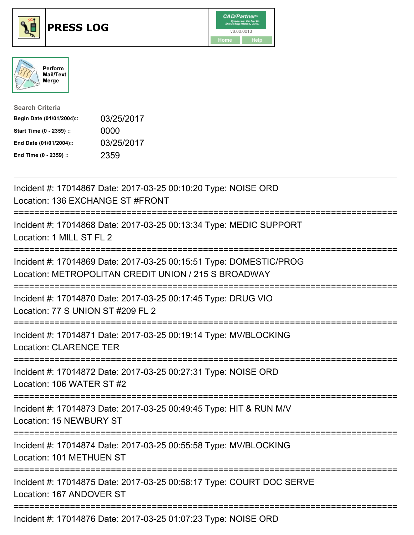





| <b>Search Criteria</b>    |            |
|---------------------------|------------|
| Begin Date (01/01/2004):: | 03/25/2017 |
| Start Time (0 - 2359) ::  | 0000       |
| End Date (01/01/2004)::   | 03/25/2017 |
| End Time (0 - 2359) ::    | 2359       |

| Incident #: 17014867 Date: 2017-03-25 00:10:20 Type: NOISE ORD<br>Location: 136 EXCHANGE ST #FRONT<br>-------------------------        |
|----------------------------------------------------------------------------------------------------------------------------------------|
| Incident #: 17014868 Date: 2017-03-25 00:13:34 Type: MEDIC SUPPORT<br>Location: 1 MILL ST FL 2                                         |
| Incident #: 17014869 Date: 2017-03-25 00:15:51 Type: DOMESTIC/PROG<br>Location: METROPOLITAN CREDIT UNION / 215 S BROADWAY             |
| Incident #: 17014870 Date: 2017-03-25 00:17:45 Type: DRUG VIO<br>Location: 77 S UNION ST #209 FL 2                                     |
| Incident #: 17014871 Date: 2017-03-25 00:19:14 Type: MV/BLOCKING<br><b>Location: CLARENCE TER</b><br>================================= |
| Incident #: 17014872 Date: 2017-03-25 00:27:31 Type: NOISE ORD<br>Location: 106 WATER ST #2                                            |
| Incident #: 17014873 Date: 2017-03-25 00:49:45 Type: HIT & RUN M/V<br>Location: 15 NEWBURY ST                                          |
| Incident #: 17014874 Date: 2017-03-25 00:55:58 Type: MV/BLOCKING<br>Location: 101 METHUEN ST                                           |
| Incident #: 17014875 Date: 2017-03-25 00:58:17 Type: COURT DOC SERVE<br>Location: 167 ANDOVER ST                                       |
| Incident #: 17014876 Date: 2017-03-25 01:07:23 Type: NOISE ORD                                                                         |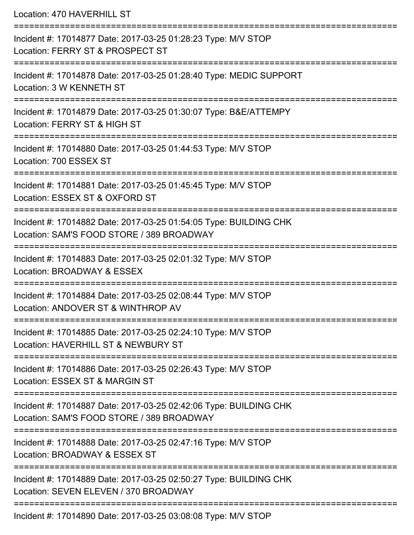Location: 470 HAVERHILL ST

| Incident #: 17014877 Date: 2017-03-25 01:28:23 Type: M/V STOP<br>Location: FERRY ST & PROSPECT ST              |
|----------------------------------------------------------------------------------------------------------------|
| Incident #: 17014878 Date: 2017-03-25 01:28:40 Type: MEDIC SUPPORT<br>Location: 3 W KENNETH ST                 |
| Incident #: 17014879 Date: 2017-03-25 01:30:07 Type: B&E/ATTEMPY<br>Location: FERRY ST & HIGH ST               |
| Incident #: 17014880 Date: 2017-03-25 01:44:53 Type: M/V STOP<br>Location: 700 ESSEX ST                        |
| Incident #: 17014881 Date: 2017-03-25 01:45:45 Type: M/V STOP<br>Location: ESSEX ST & OXFORD ST                |
| Incident #: 17014882 Date: 2017-03-25 01:54:05 Type: BUILDING CHK<br>Location: SAM'S FOOD STORE / 389 BROADWAY |
| Incident #: 17014883 Date: 2017-03-25 02:01:32 Type: M/V STOP<br>Location: BROADWAY & ESSEX                    |
| Incident #: 17014884 Date: 2017-03-25 02:08:44 Type: M/V STOP<br>Location: ANDOVER ST & WINTHROP AV            |
| Incident #: 17014885 Date: 2017-03-25 02:24:10 Type: M/V STOP<br>Location: HAVERHILL ST & NEWBURY ST           |
| Incident #: 17014886 Date: 2017-03-25 02:26:43 Type: M/V STOP<br>Location: ESSEX ST & MARGIN ST                |
| Incident #: 17014887 Date: 2017-03-25 02:42:06 Type: BUILDING CHK<br>Location: SAM'S FOOD STORE / 389 BROADWAY |
| Incident #: 17014888 Date: 2017-03-25 02:47:16 Type: M/V STOP<br>Location: BROADWAY & ESSEX ST                 |
| Incident #: 17014889 Date: 2017-03-25 02:50:27 Type: BUILDING CHK<br>Location: SEVEN ELEVEN / 370 BROADWAY     |
| Incident #: 17014890 Date: 2017-03-25 03:08:08 Type: M/V STOP                                                  |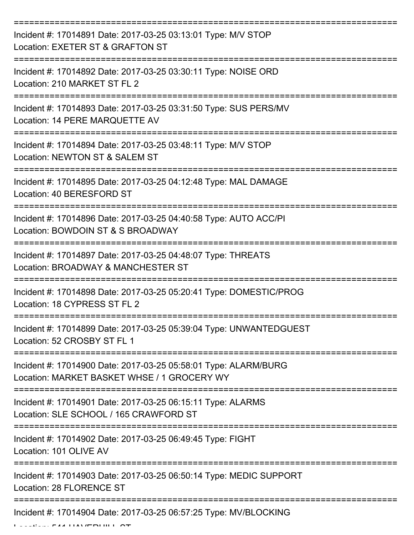| Incident #: 17014891 Date: 2017-03-25 03:13:01 Type: M/V STOP<br>Location: EXETER ST & GRAFTON ST              |
|----------------------------------------------------------------------------------------------------------------|
| Incident #: 17014892 Date: 2017-03-25 03:30:11 Type: NOISE ORD<br>Location: 210 MARKET ST FL 2                 |
| Incident #: 17014893 Date: 2017-03-25 03:31:50 Type: SUS PERS/MV<br>Location: 14 PERE MARQUETTE AV             |
| Incident #: 17014894 Date: 2017-03-25 03:48:11 Type: M/V STOP<br>Location: NEWTON ST & SALEM ST                |
| Incident #: 17014895 Date: 2017-03-25 04:12:48 Type: MAL DAMAGE<br>Location: 40 BERESFORD ST                   |
| Incident #: 17014896 Date: 2017-03-25 04:40:58 Type: AUTO ACC/PI<br>Location: BOWDOIN ST & S BROADWAY          |
| Incident #: 17014897 Date: 2017-03-25 04:48:07 Type: THREATS<br>Location: BROADWAY & MANCHESTER ST             |
| Incident #: 17014898 Date: 2017-03-25 05:20:41 Type: DOMESTIC/PROG<br>Location: 18 CYPRESS ST FL 2             |
| Incident #: 17014899 Date: 2017-03-25 05:39:04 Type: UNWANTEDGUEST<br>Location: 52 CROSBY ST FL 1              |
| Incident #: 17014900 Date: 2017-03-25 05:58:01 Type: ALARM/BURG<br>Location: MARKET BASKET WHSE / 1 GROCERY WY |
| Incident #: 17014901 Date: 2017-03-25 06:15:11 Type: ALARMS<br>Location: SLE SCHOOL / 165 CRAWFORD ST          |
| Incident #: 17014902 Date: 2017-03-25 06:49:45 Type: FIGHT<br>Location: 101 OLIVE AV                           |
| Incident #: 17014903 Date: 2017-03-25 06:50:14 Type: MEDIC SUPPORT<br>Location: 28 FLORENCE ST                 |
| Incident #: 17014904 Date: 2017-03-25 06:57:25 Type: MV/BLOCKING                                               |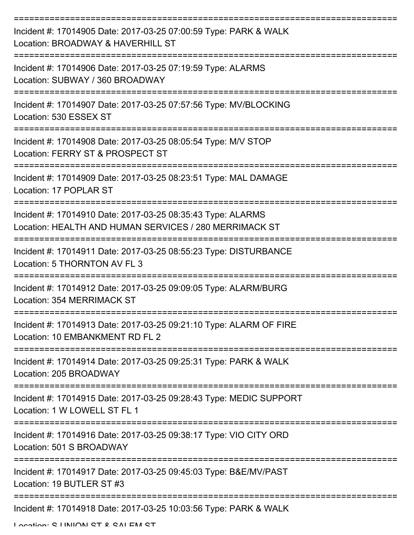| Incident #: 17014905 Date: 2017-03-25 07:00:59 Type: PARK & WALK<br>Location: BROADWAY & HAVERHILL ST                 |
|-----------------------------------------------------------------------------------------------------------------------|
| Incident #: 17014906 Date: 2017-03-25 07:19:59 Type: ALARMS<br>Location: SUBWAY / 360 BROADWAY                        |
| Incident #: 17014907 Date: 2017-03-25 07:57:56 Type: MV/BLOCKING<br>Location: 530 ESSEX ST                            |
| Incident #: 17014908 Date: 2017-03-25 08:05:54 Type: M/V STOP<br>Location: FERRY ST & PROSPECT ST                     |
| Incident #: 17014909 Date: 2017-03-25 08:23:51 Type: MAL DAMAGE<br>Location: 17 POPLAR ST                             |
| Incident #: 17014910 Date: 2017-03-25 08:35:43 Type: ALARMS<br>Location: HEALTH AND HUMAN SERVICES / 280 MERRIMACK ST |
| Incident #: 17014911 Date: 2017-03-25 08:55:23 Type: DISTURBANCE<br>Location: 5 THORNTON AV FL 3                      |
| Incident #: 17014912 Date: 2017-03-25 09:09:05 Type: ALARM/BURG<br>Location: 354 MERRIMACK ST                         |
| Incident #: 17014913 Date: 2017-03-25 09:21:10 Type: ALARM OF FIRE<br>Location: 10 EMBANKMENT RD FL 2                 |
| Incident #: 17014914 Date: 2017-03-25 09:25:31 Type: PARK & WALK<br>Location: 205 BROADWAY                            |
| Incident #: 17014915 Date: 2017-03-25 09:28:43 Type: MEDIC SUPPORT<br>Location: 1 W LOWELL ST FL 1                    |
| Incident #: 17014916 Date: 2017-03-25 09:38:17 Type: VIO CITY ORD<br>Location: 501 S BROADWAY                         |
| Incident #: 17014917 Date: 2017-03-25 09:45:03 Type: B&E/MV/PAST<br>Location: 19 BUTLER ST #3                         |
| Incident #: 17014918 Date: 2017-03-25 10:03:56 Type: PARK & WALK                                                      |

Location: C LINIION CT & CALEM CT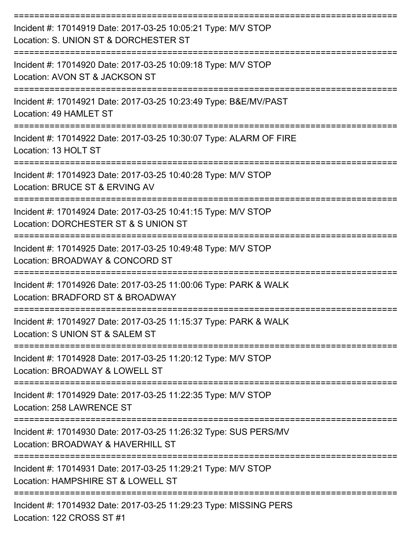| Incident #: 17014919 Date: 2017-03-25 10:05:21 Type: M/V STOP<br>Location: S. UNION ST & DORCHESTER ST |
|--------------------------------------------------------------------------------------------------------|
| Incident #: 17014920 Date: 2017-03-25 10:09:18 Type: M/V STOP<br>Location: AVON ST & JACKSON ST        |
| Incident #: 17014921 Date: 2017-03-25 10:23:49 Type: B&E/MV/PAST<br>Location: 49 HAMLET ST             |
| Incident #: 17014922 Date: 2017-03-25 10:30:07 Type: ALARM OF FIRE<br>Location: 13 HOLT ST             |
| Incident #: 17014923 Date: 2017-03-25 10:40:28 Type: M/V STOP<br>Location: BRUCE ST & ERVING AV        |
| Incident #: 17014924 Date: 2017-03-25 10:41:15 Type: M/V STOP<br>Location: DORCHESTER ST & S UNION ST  |
| Incident #: 17014925 Date: 2017-03-25 10:49:48 Type: M/V STOP<br>Location: BROADWAY & CONCORD ST       |
| Incident #: 17014926 Date: 2017-03-25 11:00:06 Type: PARK & WALK<br>Location: BRADFORD ST & BROADWAY   |
| Incident #: 17014927 Date: 2017-03-25 11:15:37 Type: PARK & WALK<br>Location: S UNION ST & SALEM ST    |
| Incident #: 17014928 Date: 2017-03-25 11:20:12 Type: M/V STOP<br>Location: BROADWAY & LOWELL ST        |
| Incident #: 17014929 Date: 2017-03-25 11:22:35 Type: M/V STOP<br>Location: 258 LAWRENCE ST             |
| Incident #: 17014930 Date: 2017-03-25 11:26:32 Type: SUS PERS/MV<br>Location: BROADWAY & HAVERHILL ST  |
| Incident #: 17014931 Date: 2017-03-25 11:29:21 Type: M/V STOP<br>Location: HAMPSHIRE ST & LOWELL ST    |
| Incident #: 17014932 Date: 2017-03-25 11:29:23 Type: MISSING PERS                                      |

Location: 122 CROSS ST #1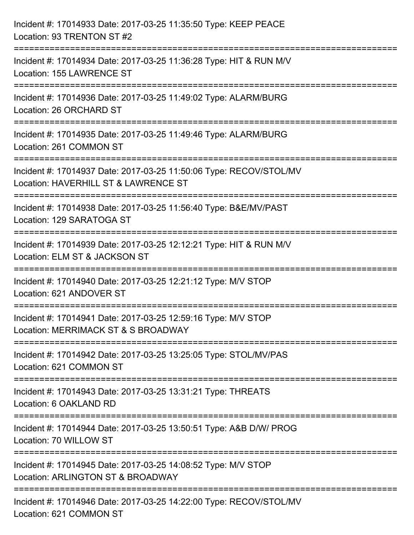| Incident #: 17014933 Date: 2017-03-25 11:35:50 Type: KEEP PEACE<br>Location: 93 TRENTON ST #2                                           |
|-----------------------------------------------------------------------------------------------------------------------------------------|
| :===================================<br>Incident #: 17014934 Date: 2017-03-25 11:36:28 Type: HIT & RUN M/V<br>Location: 155 LAWRENCE ST |
| . - - - - - - - - - - - - - - - -<br>Incident #: 17014936 Date: 2017-03-25 11:49:02 Type: ALARM/BURG<br>Location: 26 ORCHARD ST         |
| Incident #: 17014935 Date: 2017-03-25 11:49:46 Type: ALARM/BURG<br>Location: 261 COMMON ST                                              |
| Incident #: 17014937 Date: 2017-03-25 11:50:06 Type: RECOV/STOL/MV<br>Location: HAVERHILL ST & LAWRENCE ST                              |
| Incident #: 17014938 Date: 2017-03-25 11:56:40 Type: B&E/MV/PAST<br>Location: 129 SARATOGA ST                                           |
| Incident #: 17014939 Date: 2017-03-25 12:12:21 Type: HIT & RUN M/V<br>Location: ELM ST & JACKSON ST                                     |
| Incident #: 17014940 Date: 2017-03-25 12:21:12 Type: M/V STOP<br>Location: 621 ANDOVER ST                                               |
| Incident #: 17014941 Date: 2017-03-25 12:59:16 Type: M/V STOP<br>Location: MERRIMACK ST & S BROADWAY                                    |
| Incident #: 17014942 Date: 2017-03-25 13:25:05 Type: STOL/MV/PAS<br>Location: 621 COMMON ST                                             |
| Incident #: 17014943 Date: 2017-03-25 13:31:21 Type: THREATS<br>Location: 6 OAKLAND RD                                                  |
| Incident #: 17014944 Date: 2017-03-25 13:50:51 Type: A&B D/W/ PROG<br>Location: 70 WILLOW ST                                            |
| Incident #: 17014945 Date: 2017-03-25 14:08:52 Type: M/V STOP<br>Location: ARLINGTON ST & BROADWAY                                      |
| Incident #: 17014946 Date: 2017-03-25 14:22:00 Type: RECOV/STOL/MV<br>Location: 621 COMMON ST                                           |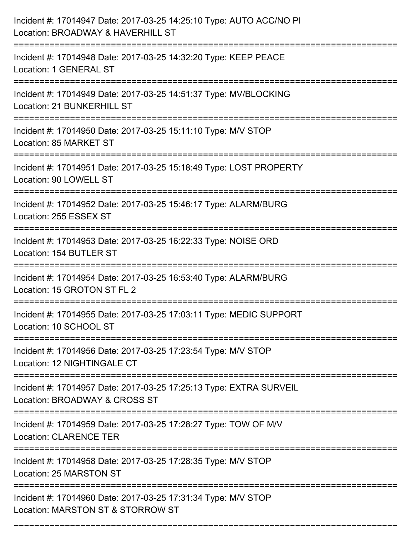| Incident #: 17014947 Date: 2017-03-25 14:25:10 Type: AUTO ACC/NO PI<br>Location: BROADWAY & HAVERHILL ST                                  |
|-------------------------------------------------------------------------------------------------------------------------------------------|
| Incident #: 17014948 Date: 2017-03-25 14:32:20 Type: KEEP PEACE<br>Location: 1 GENERAL ST                                                 |
| Incident #: 17014949 Date: 2017-03-25 14:51:37 Type: MV/BLOCKING<br>Location: 21 BUNKERHILL ST<br><u> -----------------</u>               |
| Incident #: 17014950 Date: 2017-03-25 15:11:10 Type: M/V STOP<br>Location: 85 MARKET ST                                                   |
| Incident #: 17014951 Date: 2017-03-25 15:18:49 Type: LOST PROPERTY<br>Location: 90 LOWELL ST                                              |
| Incident #: 17014952 Date: 2017-03-25 15:46:17 Type: ALARM/BURG<br>Location: 255 ESSEX ST                                                 |
| Incident #: 17014953 Date: 2017-03-25 16:22:33 Type: NOISE ORD<br>Location: 154 BUTLER ST                                                 |
| Incident #: 17014954 Date: 2017-03-25 16:53:40 Type: ALARM/BURG<br>Location: 15 GROTON ST FL 2                                            |
| Incident #: 17014955 Date: 2017-03-25 17:03:11 Type: MEDIC SUPPORT<br>Location: 10 SCHOOL ST                                              |
| Incident #: 17014956 Date: 2017-03-25 17:23:54 Type: M/V STOP<br>Location: 12 NIGHTINGALE CT                                              |
| Incident #: 17014957 Date: 2017-03-25 17:25:13 Type: EXTRA SURVEIL<br>Location: BROADWAY & CROSS ST<br>================================== |
| Incident #: 17014959 Date: 2017-03-25 17:28:27 Type: TOW OF M/V<br><b>Location: CLARENCE TER</b><br>============================          |
| Incident #: 17014958 Date: 2017-03-25 17:28:35 Type: M/V STOP<br>Location: 25 MARSTON ST                                                  |
| Incident #: 17014960 Date: 2017-03-25 17:31:34 Type: M/V STOP<br>Location: MARSTON ST & STORROW ST                                        |

===========================================================================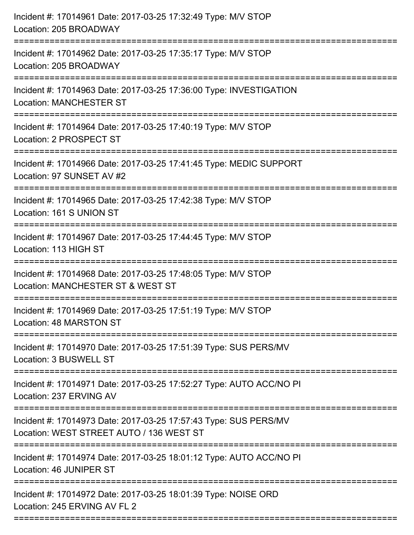| Incident #: 17014961 Date: 2017-03-25 17:32:49 Type: M/V STOP<br>Location: 205 BROADWAY                      |
|--------------------------------------------------------------------------------------------------------------|
| Incident #: 17014962 Date: 2017-03-25 17:35:17 Type: M/V STOP<br>Location: 205 BROADWAY                      |
| Incident #: 17014963 Date: 2017-03-25 17:36:00 Type: INVESTIGATION<br><b>Location: MANCHESTER ST</b>         |
| Incident #: 17014964 Date: 2017-03-25 17:40:19 Type: M/V STOP<br>Location: 2 PROSPECT ST                     |
| Incident #: 17014966 Date: 2017-03-25 17:41:45 Type: MEDIC SUPPORT<br>Location: 97 SUNSET AV #2              |
| Incident #: 17014965 Date: 2017-03-25 17:42:38 Type: M/V STOP<br>Location: 161 S UNION ST                    |
| Incident #: 17014967 Date: 2017-03-25 17:44:45 Type: M/V STOP<br>Location: 113 HIGH ST                       |
| Incident #: 17014968 Date: 2017-03-25 17:48:05 Type: M/V STOP<br>Location: MANCHESTER ST & WEST ST           |
| Incident #: 17014969 Date: 2017-03-25 17:51:19 Type: M/V STOP<br>Location: 48 MARSTON ST                     |
| Incident #: 17014970 Date: 2017-03-25 17:51:39 Type: SUS PERS/MV<br>Location: 3 BUSWELL ST                   |
| Incident #: 17014971 Date: 2017-03-25 17:52:27 Type: AUTO ACC/NO PI<br>Location: 237 ERVING AV               |
| Incident #: 17014973 Date: 2017-03-25 17:57:43 Type: SUS PERS/MV<br>Location: WEST STREET AUTO / 136 WEST ST |
| Incident #: 17014974 Date: 2017-03-25 18:01:12 Type: AUTO ACC/NO PI<br>Location: 46 JUNIPER ST               |
| Incident #: 17014972 Date: 2017-03-25 18:01:39 Type: NOISE ORD<br>Location: 245 ERVING AV FL 2               |
|                                                                                                              |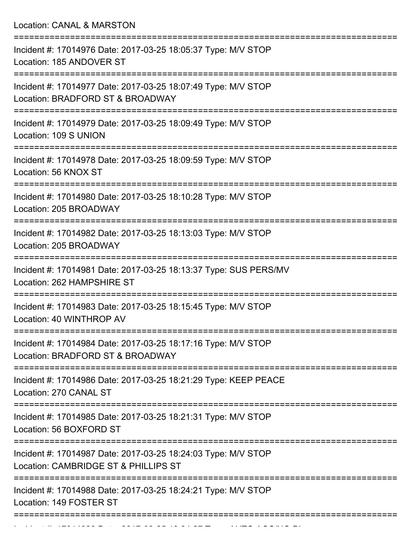=========================================================================== Incident #: 17014976 Date: 2017-03-25 18:05:37 Type: M/V STOP Location: 185 ANDOVER ST =========================================================================== Incident #: 17014977 Date: 2017-03-25 18:07:49 Type: M/V STOP Location: BRADFORD ST & BROADWAY =========================================================================== Incident #: 17014979 Date: 2017-03-25 18:09:49 Type: M/V STOP Location: 109 S UNION =========================================================================== Incident #: 17014978 Date: 2017-03-25 18:09:59 Type: M/V STOP Location: 56 KNOX ST =========================================================================== Incident #: 17014980 Date: 2017-03-25 18:10:28 Type: M/V STOP Location: 205 BROADWAY =========================================================================== Incident #: 17014982 Date: 2017-03-25 18:13:03 Type: M/V STOP Location: 205 BROADWAY =========================================================================== Incident #: 17014981 Date: 2017-03-25 18:13:37 Type: SUS PERS/MV Location: 262 HAMPSHIRE ST =========================================================================== Incident #: 17014983 Date: 2017-03-25 18:15:45 Type: M/V STOP Location: 40 WINTHROP AV =========================================================================== Incident #: 17014984 Date: 2017-03-25 18:17:16 Type: M/V STOP Location: BRADFORD ST & BROADWAY =========================================================================== Incident #: 17014986 Date: 2017-03-25 18:21:29 Type: KEEP PEACE Location: 270 CANAL ST =========================================================================== Incident #: 17014985 Date: 2017-03-25 18:21:31 Type: M/V STOP Location: 56 BOXFORD ST =========================================================================== Incident #: 17014987 Date: 2017-03-25 18:24:03 Type: M/V STOP Location: CAMBRIDGE ST & PHILLIPS ST =========================================================================== Incident #: 17014988 Date: 2017-03-25 18:24:21 Type: M/V STOP Location: 149 FOSTER ST

===========================================================================

Incident #: 17014989 Date: 2017 03 25 18:24:27 Type: 2017 03 25 18:24:27 Type: AUTO ACC/NO.<br>.

Location: CANAL & MARSTON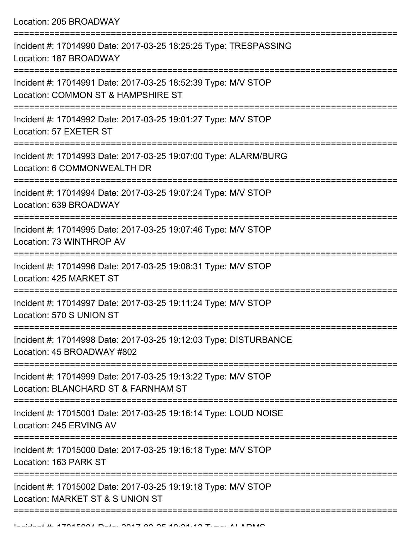Location: 205 BROADWAY

| Incident #: 17014990 Date: 2017-03-25 18:25:25 Type: TRESPASSING<br>Location: 187 BROADWAY                          |
|---------------------------------------------------------------------------------------------------------------------|
| Incident #: 17014991 Date: 2017-03-25 18:52:39 Type: M/V STOP<br>Location: COMMON ST & HAMPSHIRE ST                 |
| Incident #: 17014992 Date: 2017-03-25 19:01:27 Type: M/V STOP<br>Location: 57 EXETER ST                             |
| Incident #: 17014993 Date: 2017-03-25 19:07:00 Type: ALARM/BURG<br>Location: 6 COMMONWEALTH DR                      |
| Incident #: 17014994 Date: 2017-03-25 19:07:24 Type: M/V STOP<br>Location: 639 BROADWAY                             |
| Incident #: 17014995 Date: 2017-03-25 19:07:46 Type: M/V STOP<br>Location: 73 WINTHROP AV                           |
| Incident #: 17014996 Date: 2017-03-25 19:08:31 Type: M/V STOP<br>Location: 425 MARKET ST                            |
| Incident #: 17014997 Date: 2017-03-25 19:11:24 Type: M/V STOP<br>Location: 570 S UNION ST                           |
| Incident #: 17014998 Date: 2017-03-25 19:12:03 Type: DISTURBANCE<br>Location: 45 BROADWAY #802                      |
| -----------<br>Incident #: 17014999 Date: 2017-03-25 19:13:22 Type: M/V STOP<br>Location: BLANCHARD ST & FARNHAM ST |
| Incident #: 17015001 Date: 2017-03-25 19:16:14 Type: LOUD NOISE<br>Location: 245 ERVING AV                          |
| Incident #: 17015000 Date: 2017-03-25 19:16:18 Type: M/V STOP<br>Location: 163 PARK ST                              |
| Incident #: 17015002 Date: 2017-03-25 19:19:18 Type: M/V STOP<br>Location: MARKET ST & S UNION ST                   |
|                                                                                                                     |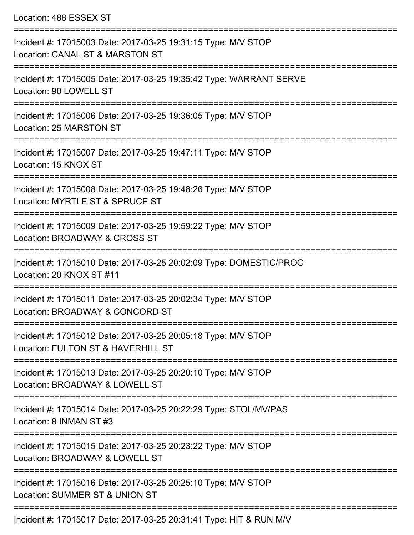Location: 488 ESSEX ST

| Incident #: 17015003 Date: 2017-03-25 19:31:15 Type: M/V STOP<br>Location: CANAL ST & MARSTON ST    |
|-----------------------------------------------------------------------------------------------------|
| Incident #: 17015005 Date: 2017-03-25 19:35:42 Type: WARRANT SERVE<br>Location: 90 LOWELL ST        |
| Incident #: 17015006 Date: 2017-03-25 19:36:05 Type: M/V STOP<br>Location: 25 MARSTON ST            |
| Incident #: 17015007 Date: 2017-03-25 19:47:11 Type: M/V STOP<br>Location: 15 KNOX ST               |
| Incident #: 17015008 Date: 2017-03-25 19:48:26 Type: M/V STOP<br>Location: MYRTLE ST & SPRUCE ST    |
| Incident #: 17015009 Date: 2017-03-25 19:59:22 Type: M/V STOP<br>Location: BROADWAY & CROSS ST      |
| Incident #: 17015010 Date: 2017-03-25 20:02:09 Type: DOMESTIC/PROG<br>Location: 20 KNOX ST #11      |
| Incident #: 17015011 Date: 2017-03-25 20:02:34 Type: M/V STOP<br>Location: BROADWAY & CONCORD ST    |
| Incident #: 17015012 Date: 2017-03-25 20:05:18 Type: M/V STOP<br>Location: FULTON ST & HAVERHILL ST |
| Incident #: 17015013 Date: 2017-03-25 20:20:10 Type: M/V STOP<br>Location: BROADWAY & LOWELL ST     |
| Incident #: 17015014 Date: 2017-03-25 20:22:29 Type: STOL/MV/PAS<br>Location: 8 INMAN ST #3         |
| Incident #: 17015015 Date: 2017-03-25 20:23:22 Type: M/V STOP<br>Location: BROADWAY & LOWELL ST     |
| Incident #: 17015016 Date: 2017-03-25 20:25:10 Type: M/V STOP<br>Location: SUMMER ST & UNION ST     |
| Incident #: 17015017 Date: 2017-03-25 20:31:41 Type: HIT & RUN M/V                                  |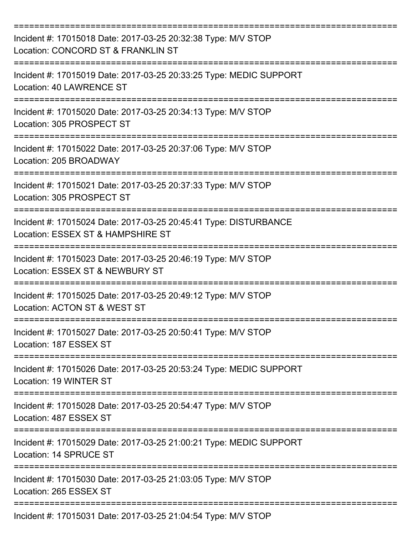| Incident #: 17015018 Date: 2017-03-25 20:32:38 Type: M/V STOP<br>Location: CONCORD ST & FRANKLIN ST   |
|-------------------------------------------------------------------------------------------------------|
| Incident #: 17015019 Date: 2017-03-25 20:33:25 Type: MEDIC SUPPORT<br>Location: 40 LAWRENCE ST        |
| Incident #: 17015020 Date: 2017-03-25 20:34:13 Type: M/V STOP<br>Location: 305 PROSPECT ST            |
| Incident #: 17015022 Date: 2017-03-25 20:37:06 Type: M/V STOP<br>Location: 205 BROADWAY               |
| Incident #: 17015021 Date: 2017-03-25 20:37:33 Type: M/V STOP<br>Location: 305 PROSPECT ST            |
| Incident #: 17015024 Date: 2017-03-25 20:45:41 Type: DISTURBANCE<br>Location: ESSEX ST & HAMPSHIRE ST |
| Incident #: 17015023 Date: 2017-03-25 20:46:19 Type: M/V STOP<br>Location: ESSEX ST & NEWBURY ST      |
| Incident #: 17015025 Date: 2017-03-25 20:49:12 Type: M/V STOP<br>Location: ACTON ST & WEST ST         |
| Incident #: 17015027 Date: 2017-03-25 20:50:41 Type: M/V STOP<br>Location: 187 ESSEX ST               |
| Incident #: 17015026 Date: 2017-03-25 20:53:24 Type: MEDIC SUPPORT<br>Location: 19 WINTER ST          |
| Incident #: 17015028 Date: 2017-03-25 20:54:47 Type: M/V STOP<br>Location: 487 ESSEX ST               |
| Incident #: 17015029 Date: 2017-03-25 21:00:21 Type: MEDIC SUPPORT<br>Location: 14 SPRUCE ST          |
| Incident #: 17015030 Date: 2017-03-25 21:03:05 Type: M/V STOP<br>Location: 265 ESSEX ST               |
| Incident #: 17015031 Date: 2017-03-25 21:04:54 Type: M/V STOP                                         |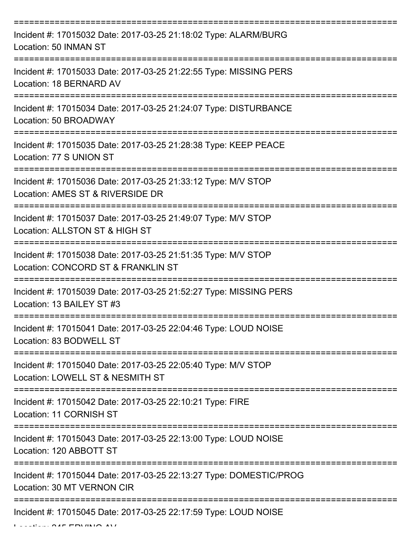| Incident #: 17015032 Date: 2017-03-25 21:18:02 Type: ALARM/BURG<br>Location: 50 INMAN ST            |
|-----------------------------------------------------------------------------------------------------|
| Incident #: 17015033 Date: 2017-03-25 21:22:55 Type: MISSING PERS<br>Location: 18 BERNARD AV        |
| Incident #: 17015034 Date: 2017-03-25 21:24:07 Type: DISTURBANCE<br>Location: 50 BROADWAY           |
| Incident #: 17015035 Date: 2017-03-25 21:28:38 Type: KEEP PEACE<br>Location: 77 S UNION ST          |
| Incident #: 17015036 Date: 2017-03-25 21:33:12 Type: M/V STOP<br>Location: AMES ST & RIVERSIDE DR   |
| Incident #: 17015037 Date: 2017-03-25 21:49:07 Type: M/V STOP<br>Location: ALLSTON ST & HIGH ST     |
| Incident #: 17015038 Date: 2017-03-25 21:51:35 Type: M/V STOP<br>Location: CONCORD ST & FRANKLIN ST |
| Incident #: 17015039 Date: 2017-03-25 21:52:27 Type: MISSING PERS<br>Location: 13 BAILEY ST #3      |
| Incident #: 17015041 Date: 2017-03-25 22:04:46 Type: LOUD NOISE<br>Location: 83 BODWELL ST          |
| Incident #: 17015040 Date: 2017-03-25 22:05:40 Type: M/V STOP<br>Location: LOWELL ST & NESMITH ST   |
| Incident #: 17015042 Date: 2017-03-25 22:10:21 Type: FIRE<br>Location: 11 CORNISH ST                |
| Incident #: 17015043 Date: 2017-03-25 22:13:00 Type: LOUD NOISE<br>Location: 120 ABBOTT ST          |
| Incident #: 17015044 Date: 2017-03-25 22:13:27 Type: DOMESTIC/PROG<br>Location: 30 MT VERNON CIR    |
| Incident #: 17015045 Date: 2017-03-25 22:17:59 Type: LOUD NOISE                                     |